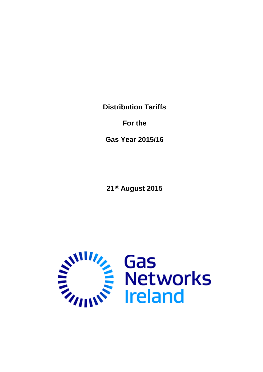**Distribution Tariffs**

**For the**

**Gas Year 2015/16**

**21st August 2015**

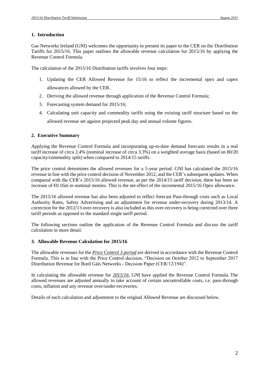## **1. Introduction**

Gas Networks Ireland (GNI) welcomes the opportunity to present its paper to the CER on the Distribution Tariffs for 2015/16. This paper outlines the allowable revenue calculation for 2015/16 by applying the Revenue Control Formula.

The calculation of the 2015/16 Distribution tariffs involves four steps:

- 1. Updating the CER Allowed Revenue for 15/16 to reflect the incremental opex and capex allowances allowed by the CER.
- 2. Deriving the allowed revenue through application of the Revenue Control Formula;
- 3. Forecasting system demand for 2015/16;
- 4. Calculating unit capacity and commodity tariffs using the existing tariff structure based on the allowed revenue set against projected peak day and annual volume figures.

## **2. Executive Summary**

Applying the Revenue Control Formula and incorporating up-to-date demand forecasts results in a real tariff increase of circa 2.4% (nominal increase of circa 3.3%) on a weighted average basis (based on 80/20 capacity/commodity split) when compared to 2014/15 tariffs.

The price control determines the allowed revenues for a 5-year period. GNI has calculated the 2015/16 revenue in line with the price control decision of November 2012, and the CER's subsequent updates. When compared with the CER's 2015/16 allowed revenue, as per the 2014/15 tariff decision, there has been an increase of €0.16m in nominal monies. This is the net effect of the incremental 2015/16 Opex allowance.

The 2015/16 allowed revenue has also been adjusted to reflect forecast Pass-through costs such as Local Authority Rates, Safety Advertising and an adjustment for revenue under-recovery during 2013/14. A correction for the 2012/13 over-recovery is also included as this over-recovery is being corrected over three tariff periods as opposed to the standard single tariff period.

The following sections outline the application of the Revenue Control Formula and discuss the tariff calculation in more detail.

## **3. Allowable Revenue Calculation for 2015/16**

The allowable revenues for the *Price Control 3 period* are derived in accordance with the Revenue Control Formula. This is in line with the Price Control decision, "Decision on October 2012 to September 2017 Distribution Revenue for Bord Gáis Networks - Decision Paper (CER/12/194)".

In calculating the allowable revenue for *2015/16*, GNI have applied the Revenue Control Formula. The allowed revenues are adjusted annually to take account of certain uncontrollable costs, i.e. pass-through costs, inflation and any revenue over/under-recoveries.

Details of each calculation and adjustment to the original Allowed Revenue are discussed below.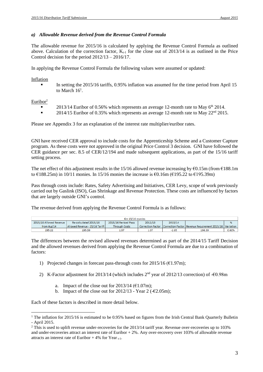## *a) Allowable Revenue derived from the Revenue Control Formula*

The allowable revenue for 2015/16 is calculated by applying the Revenue Control Formula as outlined above. Calculation of the correction factor,  $K_{t-1}$  for the close out of 2013/14 is as outlined in the Price Control decision for the period 2012/13 – 2016/17.

In applying the Revenue Control Formula the following values were assumed or updated:

#### Inflation

 In setting the 2015/16 tariffs, 0.95% inflation was assumed for the time period from April 15 to March  $16<sup>1</sup>$ .

Euribor $2$ 

 $\overline{a}$ 

- 2013/14 Euribor of 0.56% which represents an average 12-month rate to May  $6<sup>th</sup>$  2014.
- 2014/15 Euribor of 0.35% which represents an average 12-month rate to May  $22<sup>nd</sup>$  2015.

Please see Appendix 3 for an explanation of the interest rate multiplier/euribor rates.

GNI have received CER approval to include costs for the Apprenticeship Scheme and a Customer Capture program. As these costs were not approved in the original Price Control 3 decision. GNI have followed the CER guidance per sec. 8.5 of CER/12/194 and made subsequent applications, as part of the 15/16 tariff setting process.

The net effect of this adjustment results in the 15/16 allowed revenue increasing by  $\epsilon$ 0.15m (from  $\epsilon$ 188.1m) to €188.25m) in 10/11 monies. In 15/16 monies the increase is €0.16m (€195.22 to €195.39m)

Pass through costs include: Rates, Safety Advertising and Initiatives, CER Levy, scope of work previously carried out by Gaslink (ISO), Gas Shrinkage and Revenue Protection. These costs are influenced by factors that are largely outside GNI's control.

The revenue derived from applying the Revenue Control Formula is as follows:

| $\epsilon$ m 15/16 monies                                                                      |                                |                      |      |         |                                                                                 |       |
|------------------------------------------------------------------------------------------------|--------------------------------|----------------------|------|---------|---------------------------------------------------------------------------------|-------|
| 2015/16 Allowed Revenue<br>Re-calculated 2015/16<br>2012/13<br>2013/14<br>2015/16 Revised Pass |                                |                      |      |         |                                                                                 |       |
| from Aug'14                                                                                    | Allowed Revenue - 15/16 Tariff | <b>Through Costs</b> |      |         | Correction Factor   Correction Factor   Revenue Requirement 2015/16   Variation |       |
| 195.22                                                                                         | 195.39                         | 1.97                 | 1.07 | $-2.05$ | 196.39                                                                          | 0.60% |

The differences between the revised allowed revenues determined as part of the 2014/15 Tariff Decision and the allowed revenues derived from applying the Revenue Control Formula are due to a combination of factors:

- 1) Projected changes in forecast pass-through costs for  $2015/16$  ( $E1.97m$ );
- 2) K-Factor adjustment for 2013/14 (which includes  $2<sup>nd</sup>$  year of 2012/13 correction) of -€0.98m
	- a. Impact of the close out for  $2013/14$  ( $\epsilon$ 1.07m);
	- b. Impact of the close out for  $2012/13$  Year 2 (- $\epsilon$ 2.05m);

Each of these factors is described in more detail below.

<sup>&</sup>lt;sup>1</sup> The inflation for 2015/16 is estimated to be 0.95% based on figures from the Irish Central Bank Quarterly Bulletin - April 2015.

<sup>&</sup>lt;sup>2</sup> This is used to uplift revenue under-recoveries for the 2013/14 tariff year. Revenue over-recoveries up to 103% and under-recoveries attract an interest rate of Euribor + 2%. Any over-recovery over 103% of allowable revenue attracts an interest rate of Euribor  $+ 4\%$  for Year  $_{t-1}$ .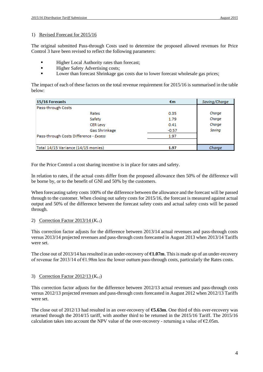## 1) Revised Forecast for 2015/16

The original submitted Pass-through Costs used to determine the proposed allowed revenues for Price Control 3 have been revised to reflect the following parameters:

- Higher Local Authority rates than forecast;
- **Higher Safety Advertising costs;**
- Lower than forecast Shrinkage gas costs due to lower forecast wholesale gas prices;

The impact of each of these factors on the total revenue requirement for 2015/16 is summarised in the table below:

| 15/16 Forecasts                        |                 | €m      | Saving/Charge |
|----------------------------------------|-----------------|---------|---------------|
| Pass-through Costs                     |                 |         |               |
|                                        | Rates           | 0.35    | Charge        |
|                                        | Safety          | 1.79    | Charge        |
|                                        | <b>CER Levy</b> | 0.41    | Charge        |
|                                        | Gas Shrinkage   | $-0.57$ | Saving        |
| Pass-through Costs Difference - Excess |                 | 1.97    |               |
|                                        |                 |         |               |
| Total 14/15 Variance (14/15 monies)    |                 | 1.97    | Charge        |

For the Price Control a cost sharing incentive is in place for rates and safety.

In relation to rates, if the actual costs differ from the proposed allowance then 50% of the difference will be borne by, or to the benefit of GNI and 50% by the customers.

When forecasting safety costs 100% of the difference between the allowance and the forecast will be passed through to the customer. When closing out safety costs for 2015/16, the forecast is measured against actual output and 50% of the difference between the forecast safety costs and actual safety costs will be passed through.

## 2) Correction Factor 2013/14 (*Kt-1*)

This correction factor adjusts for the difference between 2013/14 actual revenues and pass-through costs versus 2013/14 projected revenues and pass-through costs forecasted in August 2013 when 2013/14 Tariffs were set.

The close out of 2013/14 has resulted in an under-recovery of **€1.07m**. This is made up of an under-recovery of revenue for 2013/14 of  $\epsilon$ 1.98m less the lower outturn pass-through costs, particularly the Rates costs.

## 3) Correction Factor 2012/13 (*Kt-2*)

This correction factor adjusts for the difference between 2012/13 actual revenues and pass-through costs versus 2012/13 projected revenues and pass-through costs forecasted in August 2012 when 2012/13 Tariffs were set.

The close out of 2012/13 had resulted in an over-recovery of **€5.63m**. One third of this over-recovery was returned through the 2014/15 tariff, with another third to be returned in the 2015/16 Tariff. The 2015/16 calculation takes into account the NPV value of the over-recovery - returning a value of  $\epsilon$ 2.05m.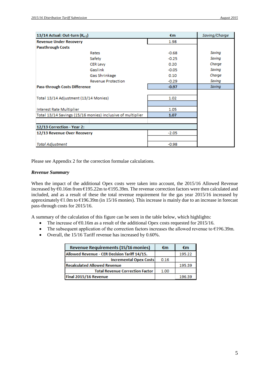| 13/14 Actual: Out-turn $(K_{t-1})$    |                                                            | €m      | Saving/Charge |
|---------------------------------------|------------------------------------------------------------|---------|---------------|
| <b>Revenue Under Recovery</b>         |                                                            | 1.98    |               |
| <b>Passthrough Costs</b>              |                                                            |         |               |
|                                       | Rates                                                      | $-0.68$ | Saving        |
|                                       | Safety                                                     | $-0.25$ | Saving        |
|                                       | <b>CER Levy</b>                                            | 0.20    | Charge        |
|                                       | Gaslink                                                    | $-0.05$ | Saving        |
|                                       | Gas Shrinkage                                              | 0.10    | Charge        |
|                                       | <b>Revenue Protection</b>                                  | $-0.29$ | Saving        |
| Pass-through Costs Difference         |                                                            | $-0.97$ | <b>Saving</b> |
|                                       |                                                            |         |               |
| Total 13/14 Adjustment (13/14 Monies) |                                                            | 1.02    |               |
|                                       |                                                            |         |               |
| Interest Rate Multiplier              |                                                            | 1.05    |               |
|                                       | Total 13/14 Savings (15/16 monies) inclusive of multiplier | 1.07    |               |
|                                       |                                                            |         |               |
| 12/13 Correction - Year 2:            |                                                            |         |               |
| 12/13 Revenue Over Recovery           |                                                            | $-2.05$ |               |
|                                       |                                                            |         |               |
| <b>Total Adjustment</b>               |                                                            | $-0.98$ |               |

Please see Appendix 2 for the correction formulae calculations.

#### *Revenue Summary*

When the impact of the additional Opex costs were taken into account, the 2015/16 Allowed Revenue increased by €0.16m from €195.22m to €195.39m. The revenue correction factors were then calculated and included, and as a result of these the total revenue requirement for the gas year 2015/16 increased by approximately €1.0m to €196.39m (in 15/16 monies). This increase is mainly due to an increase in forecast pass-through costs for 2015/16.

A summary of the calculation of this figure can be seen in the table below, which highlights:

- The increase of  $\epsilon$ 0.16m as a result of the additional Opex costs requested for 2015/16.
- The subsequent application of the correction factors increases the allowed revenue to  $E196.39m$ .
- Overall, the 15/16 Tariff revenue has increased by 0.60%.

| <b>Revenue Requirements (15/16 monies)</b>   | €m   | €m     |
|----------------------------------------------|------|--------|
| Allowed Revenue - CER Decision Tariff 14/15. |      | 195.22 |
| Incremental Opex Costs                       | 0.16 |        |
| <b>Recalculated Allowed Revenue</b>          |      | 195.39 |
| <b>Total Revenue Correction Factor</b>       | 1.00 |        |
| Final 2015/16 Revenue                        |      | 196.39 |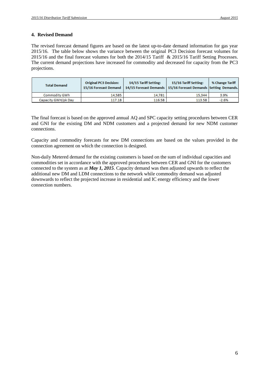## **4. Revised Demand**

The revised forecast demand figures are based on the latest up-to-date demand information for gas year 2015/16. The table below shows the variance between the original PC3 Decision forecast volumes for 2015/16 and the final forecast volumes for both the 2014/15 Tariff & 2015/16 Tariff Setting Processes. The current demand projections have increased for commodity and decreased for capacity from the PC3 projections.

| <b>Total Demand</b>  | <b>Original PC3 Decision:</b> | 14/15 Tariff Setting:<br>15/16 Forecast Demand   14/15 Forecast Demands   15/16 Forecast Demands Setting Demands. | 15/16 Tariff Setting: | % Change Tariff |
|----------------------|-------------------------------|-------------------------------------------------------------------------------------------------------------------|-----------------------|-----------------|
| <b>Commodity GWh</b> | 14.585                        | 14,781                                                                                                            | 15.344                | 3.9%            |
| Capacity GWH/pk Day  | 117.18                        | 116.58                                                                                                            | 113.58                | $-2.6%$         |

The final forecast is based on the approved annual AQ and SPC capacity setting procedures between CER and GNI for the existing DM and NDM customers and a projected demand for new NDM customer connections.

Capacity and commodity forecasts for new DM connections are based on the values provided in the connection agreement on which the connection is designed.

Non-daily Metered demand for the existing customers is based on the sum of individual capacities and commodities set in accordance with the approved procedures between CER and GNI for the customers connected to the system as at *May 1, 2015*. Capacity demand was then adjusted upwards to reflect the additional new DM and LDM connections to the network while commodity demand was adjusted downwards to reflect the projected increase in residential and IC energy efficiency and the lower connection numbers.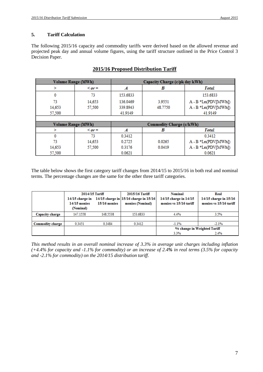## **5. Tariff Calculation**

The following 2015/16 capacity and commodity tariffs were derived based on the allowed revenue and projected peak day and annual volume figures, using the tariff structure outlined in the Price Control 3 Decision Paper.

| <b>Volume Range (MWh)</b> |              | Capacity Charge (c/pk day kWh) |                                 |                        |
|---------------------------|--------------|--------------------------------|---------------------------------|------------------------|
| ⋗                         | $&\leq$ or = | A                              | В                               | <b>Total</b>           |
| 0                         | 73           | 153.6833                       |                                 | 153.6833               |
| 73                        | 14,653       | 136.0469                       | 3.9551                          | $A - B * Ln(PDV[MWh])$ |
| 14,653                    | 57,500       | 339.8943                       | 48.7750                         | A-B *Ln(PDV[MWh])      |
| 57,500                    |              | 41.9149                        |                                 | 41.9149                |
|                           |              |                                |                                 |                        |
| <b>Volume Range (MWh)</b> |              |                                | <b>Commodity Charge (c/kWh)</b> |                        |
| ⋗                         | $&\leq$ or = | A                              | В                               | Total                  |
|                           | 73           | 0.3412                         |                                 | 0.3412                 |
| 73                        | 14,653       | 0.2725                         | 0.0265                          | A - B *Ln(PDV[MWh])    |
| 14,653                    | 57,500       | 0.3176                         | 0.0419                          | A - B *Ln(PDV[MWh])    |
| 57,500                    |              | 0.0621                         |                                 | 0.0621                 |

## **2015/16 Proposed Distribution Tariff**

The table below shows the first category tariff changes from 2014/15 to 2015/16 in both real and nominal terms. The percentage changes are the same for the other three tariff categories.

|                         | 2014/15 Tariff<br>$14/15$ charge in<br>$14/15$ monies<br>(Nominal) | $15/16$ monies | 2015/16 Tariff<br>14/15 charge in 15/16 charge in 15/16<br>monies (Nominal) | <b>Nominal</b><br>14/15 charge in 14/15<br>monies vs 15/16 tariff | Real<br>14/15 charge in 15/16<br>monies vs 15/16 tariff |
|-------------------------|--------------------------------------------------------------------|----------------|-----------------------------------------------------------------------------|-------------------------------------------------------------------|---------------------------------------------------------|
| Capacity charge         | 147.1558                                                           | 148.5538       | 153.6833                                                                    | 4.4%                                                              | 3.5%                                                    |
|                         |                                                                    |                |                                                                             |                                                                   |                                                         |
| <b>Commodity charge</b> | 0.3451                                                             | 0.3484         | 0.3412                                                                      | $-1.1%$                                                           | $-2.1%$                                                 |
|                         |                                                                    |                |                                                                             | % change in Weighted Tariff                                       |                                                         |
|                         |                                                                    |                |                                                                             | 3.3%                                                              | 2.4%                                                    |

*This method results in an overall nominal increase of 3.3% in average unit charges including inflation (+4.4% for capacity and -1.1% for commodity) or an increase of 2.4% in real terms (3.5% for capacity and -2.1% for commodity) on the 2014/15 distribution tariff.*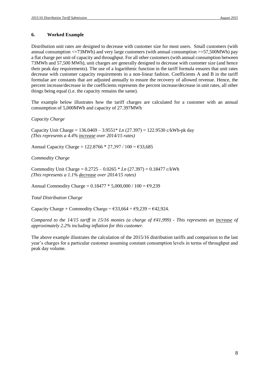## **6. Worked Example**

Distribution unit rates are designed to decrease with customer size for most users. Small customers (with annual consumption  $\leq$  73MWh) and very large customers (with annual consumption  $\geq$  57,500MWh) pay a flat charge per unit of capacity and throughput. For all other customers (with annual consumption between 73MWh and 57,500 MWh), unit charges are generally designed to decrease with customer size (and hence their peak day requirements). The use of a logarithmic function in the tariff formula ensures that unit rates decrease with customer capacity requirements in a non-linear fashion. Coefficients A and B in the tariff formulae are constants that are adjusted annually to ensure the recovery of allowed revenue. Hence, the percent increase/decrease in the coefficients represents the percent increase/decrease in unit rates, all other things being equal (i.e. the capacity remains the same).

The example below illustrates how the tariff charges are calculated for a customer with an annual consumption of 5,000MWh and capacity of 27.397MWh

## *Capacity Charge*

Capacity Unit Charge = 136.0469 – 3.9551\* *Ln* (27.397) = 122.9530 c/kWh-pk day *(This represents a 4.4% increase over 2014/15 rates)*

Annual Capacity Charge =  $122.8766 * 27,397 / 100 = \text{\textsterling}33,685$ 

#### *Commodity Charge*

Commodity Unit Charge = 0.2725 – 0.0265 \* *Ln* (27.397) = 0.18477 c/kWh *(This represents a 1.1% decrease over 2014/15 rates)*

Annual Commodity Charge =  $0.18477 * 5,000,000 / 100 = \text{\textsterling}9,239$ 

## *Total Distribution Charge*

Capacity Charge + Commodity Charge =  $\epsilon$ 33,664 +  $\epsilon$ 9,239 =  $\epsilon$ 42,924.

*Compared to the 14/15 tariff in 15/16 monies (a charge of €41,999) - This represents an increase of approximately 2.2% including inflation for this customer.*

The above example illustrates the calculation of the 2015/16 distribution tariffs and comparison to the last year's charges for a particular customer assuming constant consumption levels in terms of throughput and peak day volume.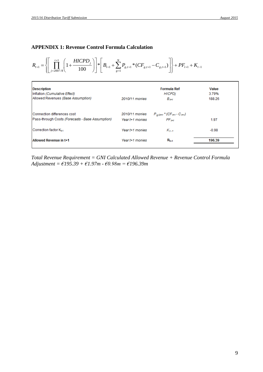**APPENDIX 1: Revenue Control Formula Calculation**  

$$
R_{t+1} = \left\{ \left[ \prod_{j=2007/8}^{t+1} \left( 1 + \frac{HICPD_j}{100} \right) \right] * \left[ B_{t+1} + \sum_{g=1}^{N} P_{g,t+1} * (CF_{g,t+1} - C_{g,t+1}) \right] \right\} + PF_{t+1} + K_{t-1}
$$

| <b>Description</b>                               | 2010/11 monies  | <b>Formula Ref</b>                                    | Value   |
|--------------------------------------------------|-----------------|-------------------------------------------------------|---------|
| Inflation (Cumulative Effect)                    |                 | <b>HICPDi</b>                                         | 3.79%   |
| Allowed Revenues (Base Assumption)               |                 | $B_{1+1}$                                             | 188.26  |
| Connection differences cost                      | 2010/11 monies  | $P_{g,CH1}$ * (CF <sub>t+1</sub> - C <sub>t+1</sub> ) | 1.97    |
| Pass-through Costs (Forecasts - Base Assumption) | Year t+1 monies | $PF_{***}$                                            |         |
| Correction factor K.,                            | Year t+1 monies | $K_{t-1}$                                             | $-0.98$ |
| Allowed Revenue in t+1                           | Year t+1 monies | $R_{t+1}$                                             | 196.39  |

*Total Revenue Requirement = GNI Calculated Allowed Revenue + Revenue Control Formula Adjustment* =  $\epsilon$ 195.39 +  $\epsilon$ 1.97m  $\epsilon$   $\epsilon$ 0.98m =  $\epsilon$ 196.39m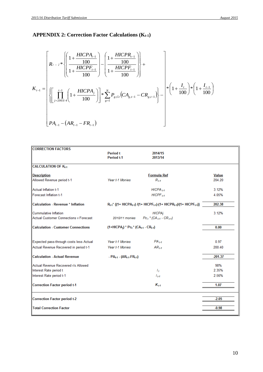# **APPENDIX 2: Correction Factor Calculations (Kt-1)**

$$
K_{t-1} = \left[ \left\{ \prod_{j=2003/4}^{t-1} \left( 1 + \frac{HICPA_{t-1}}{100} \right) - \left( \frac{1 + \frac{HICPR_{t-1}}{100}}{1 + \frac{HICPF_{t-1}}{100}} \right) \right\} + \left\{ \prod_{j=2003/4}^{t-1} \left( 1 + \frac{HICPA_j}{100} \right) \right\} \right\} \sum_{g=1}^{N} P_{g,Ct} \left( CA_{g,t-1} - CR_{g,t-1} \right) \right\} - \left[ * \left( 1 + \frac{I_t}{100} \right) * \left( 1 + \frac{I_{t-1}}{100} \right) \right]
$$
  

$$
PA_{t-1} - \left( AR_{t-1} - FR_{t-1} \right)
$$

| <b>CORRECTION FACTORS</b>                     |                                              |                                                                                                                                       |              |
|-----------------------------------------------|----------------------------------------------|---------------------------------------------------------------------------------------------------------------------------------------|--------------|
|                                               | <b>Period t</b><br>Period t-1                | 2014/15<br>2013/14                                                                                                                    |              |
| <b>CALCULATION OF Kt.1</b>                    |                                              |                                                                                                                                       |              |
| <b>Description</b>                            |                                              | <b>Formula Ref</b>                                                                                                                    | <b>Value</b> |
| Allowed Revenue period t-1                    | Year t-1 Monies                              | $R_{t-1}$                                                                                                                             | 204.20       |
| <b>Actual Inflation t-1</b>                   |                                              | $HICPAt-1$                                                                                                                            | 3.12%        |
| Forecast Inflation t-1                        |                                              | $HICPF_{t-1}$                                                                                                                         | 4.05%        |
| <b>Calculation - Revenue * Inflation</b>      |                                              | $R_{t-1}$ <sup>*</sup> {(1+ HICPA <sub>t-1</sub> ) /(1+ HICPF <sub>t-1</sub> ) (1+ HICPR <sub>t-1</sub> )/(1+ HICPF <sub>t-1</sub> )} | 202.38       |
| <b>Cummulative Inflation</b>                  |                                              | <b>HICPAi</b>                                                                                                                         | 3.12%        |
| <b>Actual Customer Connections v Forecast</b> | 2010/11 monies                               | $P c_t * (C A_{t-1} - C R_{t-1})$                                                                                                     |              |
| <b>Calculation - Customer Connections</b>     | $(1+HICPA_i) * Pc_t * (CA_{t-1} - CR_{t-1})$ |                                                                                                                                       | 0.00         |
| Expected pass-through costs less Actual       | Year t-1 Monies                              | $PA_{t-1}$                                                                                                                            | 0.97         |
| Actual Revenue Recovered in period t-1        | Year t-1 Monies                              | $AR_{t-1}$                                                                                                                            | 200.40       |
| <b>Calculation - Actual Revenue</b>           | - $PA_{t-1} - (AR_{t-1} - FR_{t-1})$         |                                                                                                                                       | $-201.37$    |
| Actual Revenue Recovered Vs Allowed           |                                              |                                                                                                                                       | 98%          |
| Interest Rate period t                        |                                              | $l_t$                                                                                                                                 | 2.35%        |
| Interest Rate period t-1                      |                                              | $l_{t-1}$                                                                                                                             | 2.56%        |
| <b>Correction Factor period t-1</b>           |                                              | $K_{t-1}$                                                                                                                             | 1.07         |
| <b>Correction Factor period t-2</b>           |                                              |                                                                                                                                       | $-2.05$      |
| <b>Total Correction Factor</b>                |                                              |                                                                                                                                       | $-0.98$      |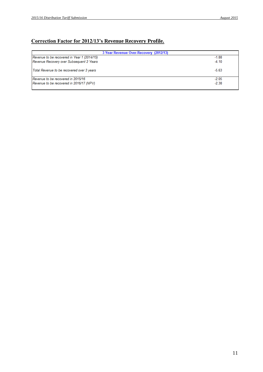## **Correction Factor for 2012/13's Revenue Recovery Profile.**

| 3 Year Revenue Over-Recovery (2012/13)      |         |
|---------------------------------------------|---------|
| Revenue to be recovered in Year 1 (2014/15) | $-1.88$ |
| Revenue Recovery over Subsequent 2 Years    | $-4.10$ |
| Total Revenue to be recovered over 3 years  | $-5.63$ |
| Revenue to be recovered in 2015/16          | $-2.05$ |
| Revenue to be recovered in 2016/17 (NPV)    | $-2.38$ |